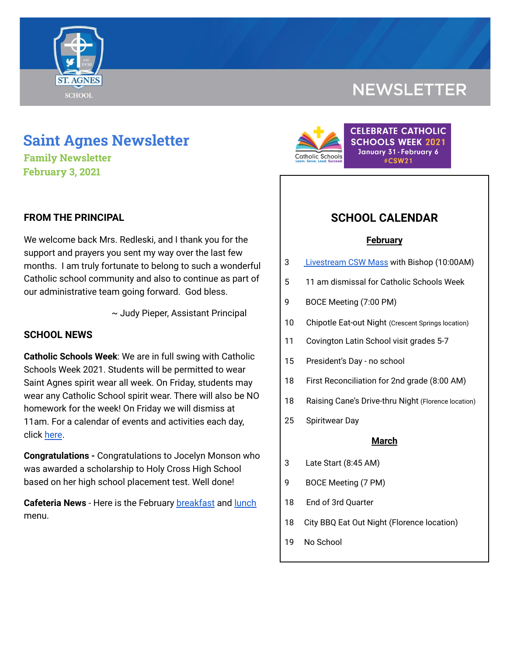

## **NEWSLETTER**

# **Saint Agnes Newsletter**

**Family Newsletter February 3, 2021**

#### **FROM THE PRINCIPAL**

We welcome back Mrs. Redleski, and I thank you for the support and prayers you sent my way over the last few months. I am truly fortunate to belong to such a wonderful Catholic school community and also to continue as part of our administrative team going forward. God bless.

~ Judy Pieper, Assistant Principal

#### **SCHOOL NEWS**

**Catholic Schools Week**: We are in full swing with Catholic Schools Week 2021. Students will be permitted to wear Saint Agnes spirit wear all week. On Friday, students may wear any Catholic School spirit wear. There will also be NO homework for the week! On Friday we will dismiss at 11am. For a calendar of events and activities each day, click [here](https://school.saintagnes.com/wp-content/uploads/2021/01/Catholic-Schools-Week-Calendar-2021.pdf).

**Congratulations -** Congratulations to Jocelyn Monson who was awarded a scholarship to Holy Cross High School based on her high school placement test. Well done!

**Cafeteria News** - Here is the February [breakfast](https://school.saintagnes.com/wp-content/uploads/2021/01/Feb-Breakfast-Menu-2021-1.pdf) and [lunch](https://school.saintagnes.com/wp-content/uploads/2021/01/Feb-lunch-Menu-2021.pdf) menu.



### **SCHOOL CALENDAR**

#### **February**

- 3 [Livestream](https://vimeo.com/covcathedralbasilica) CSW Mass with Bishop (10:00AM)
- 5 11 am dismissal for Catholic Schools Week
- 9 BOCE Meeting (7:00 PM)
- 10 Chipotle Eat-out Night (Crescent Springs location)
- 11 Covington Latin School visit grades 5-7
- 15 President's Day no school
- 18 First Reconciliation for 2nd grade (8:00 AM)
- 18 Raising Cane's Drive-thru Night (Florence location)
- 25 Spiritwear Day

#### **March**

- 3 Late Start (8:45 AM)
- 9 BOCE Meeting (7 PM)
- 18 End of 3rd Quarter
- 18 City BBQ Eat Out Night (Florence location)
- 19 No School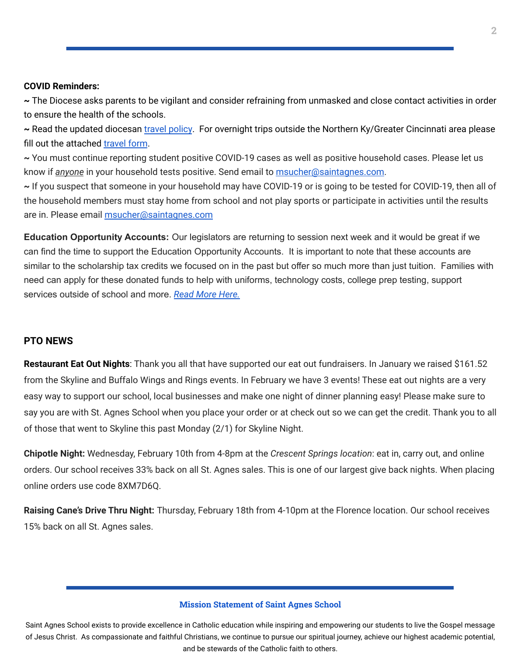#### **COVID Reminders:**

**~** The Diocese asks parents to be vigilant and consider refraining from unmasked and close contact activities in order to ensure the health of the schools.

**~** Read the updated diocesan travel [policy](https://school.saintagnes.com/wp-content/uploads/2021/02/Travel-Quarentine-Update-Feb.-2021.pdf). For overnight trips outside the Northern Ky/Greater Cincinnati area please fill out the attached [travel](https://docs.google.com/forms/d/1G4JmfFWk29Sxg_3O81r5EB0F7IYJyTofEAGJ9wd5aO4/edit?ts=5f985dbb&gxids=7628) form.

**~** You must continue reporting student positive COVID-19 cases as well as positive household cases. Please let us know if *anyone* in your household tests positive. Send email to [msucher@saintagnes.com](mailto:msucher@saintagnes.com).

**~** If you suspect that someone in your household may have COVID-19 or is going to be tested for COVID-19, then all of the household members must stay home from school and not play sports or participate in activities until the results are in. Please email [msucher@saintagnes.com](mailto:msucher@saintagnes.com)

**Education Opportunity Accounts:** Our legislators are returning to session next week and it would be great if we can find the time to support the Education Opportunity Accounts. It is important to note that these accounts are similar to the scholarship tax credits we focused on in the past but offer so much more than just tuition. Families with need can apply for these donated funds to help with uniforms, technology costs, college prep testing, support services outside of school and more. *Read More [Here.](https://school.saintagnes.com/wp-content/uploads/2021/02/EdChoice-One-Pager-2021.pdf)*

#### **PTO NEWS**

**Restaurant Eat Out Nights**: Thank you all that have supported our eat out fundraisers. In January we raised \$161.52 from the Skyline and Buffalo Wings and Rings events. In February we have 3 events! These eat out nights are a very easy way to support our school, local businesses and make one night of dinner planning easy! Please make sure to say you are with St. Agnes School when you place your order or at check out so we can get the credit. Thank you to all of those that went to Skyline this past Monday (2/1) for Skyline Night.

**Chipotle Night:** Wednesday, February 10th from 4-8pm at the *Crescent Springs location*: eat in, carry out, and online orders. Our school receives 33% back on all St. Agnes sales. This is one of our largest give back nights. When placing online orders use code 8XM7D6Q.

**Raising Cane's Drive Thru Night:** Thursday, February 18th from 4-10pm at the Florence location. Our school receives 15% back on all St. Agnes sales.

#### **Mission Statement of Saint Agnes School**

Saint Agnes School exists to provide excellence in Catholic education while inspiring and empowering our students to live the Gospel message of Jesus Christ. As compassionate and faithful Christians, we continue to pursue our spiritual journey, achieve our highest academic potential, and be stewards of the Catholic faith to others.